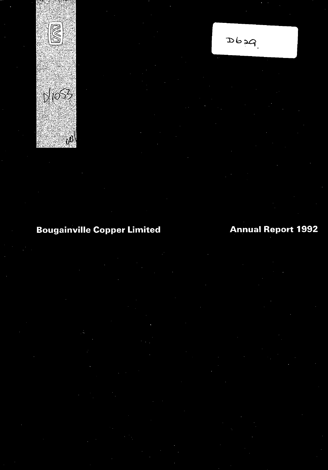

# **Bougainville Copper Limited**

# $P$ cad $\sigma$

# **Annual Report 1992**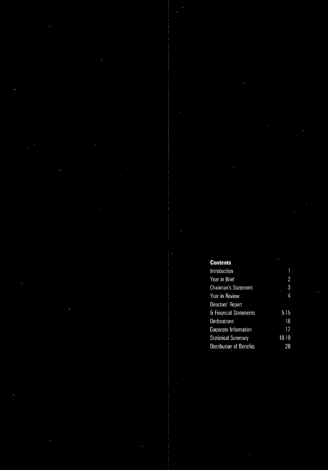#### **Contents** Introduction  $\mathbf{1}$ Year in Brief  $\overline{2}$  $\begin{array}{c} 3 \\ 4 \end{array}$ Chairman's Statement Year in Review Directors' Report & Financial Statements  $5-15$ Declarations  $16$  $\overline{17}$ Corporate Information **Statistical Summary** 18-19 Distribution of Benefits  $20\,$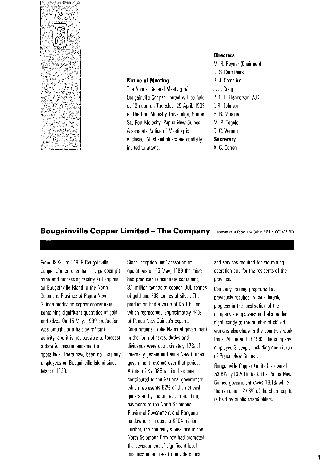

#### **Notice of Meeting**

The Annual General Meeting of Bougainville Copper Limited will be held at 12 noon on Thursday, 29 April, 1993 at The Porr Moresby Travelodge, Hunter St., Porr Moresby, Papua New Guinea. A separate Notice of Meeting is enclosed. All shareholders are cordially invited to attend.

#### **Directors**

M. R. Rayner (Chairman) O. S. Carruthers R. J. Cornelius J. J. Craig P. G. F. Henderson, A.C. I. R. Johnson R. B. Moaina M. P. Togolo O. C. Vernon **Secretary**  A. G. Corren

#### **Bougainville Copper Limited - The Company** Incorporated in Papua New Guinea A.R.B.N. 007 497 889

From 1972 until 19S9 Bougainville Copper Limited operated a large open pit mine and processing facility at Panguna on Bougainville Island in the Norrh Solomons Province of Papua New Guinea producing copper concentrate containing significant quantities of gold and silver. On 15 May, 19S9 production was brought to a halt by militant activity, and it is not possible to forecast a date for recommencement of operations. There have been no company employees on Bougainville Island since March, 1990.

Since inception until cessation of operations on 15 May, 19S9 the mine had produced concentrate containing 3.1 million tonnes of copper, 306 tonnes of gold and 7S3 tonnes of silver. The production had a value of K5.1 billion which represented approximately 44% of Papua New Guinea's exporrs. Contributions to the National government in the form of taxes, duties and dividends were approximately 17% of internally generated Papua New Guinea government revenue over that period. A total of K1 086 million has been contributed to the National government which represents 62% of the net cash generated by the project. In addition, payments to the Norrh Solomons Provincial Government and Panguna landowners amount to K104 million. Further, the company's presence in the Norrh Solomons Province had promoted the development of significant local business enterprises to provide goods

and services required for the mining operation and for the residents of the province.

Company training programs had previously resulted in considerable progress in the localisation of the company's employees and also added significantly to the number of skilled workers elsewhere in the country's work force. At the end of 1992, the company employed 2 people including one citizen of Papua New Guinea.

Bougainville Copper Limited is owned 53.6% by CRA Limited. The Papua New Guinea government owns 19.1% while the remaining 27.3% of the share capital is held by public shareholders.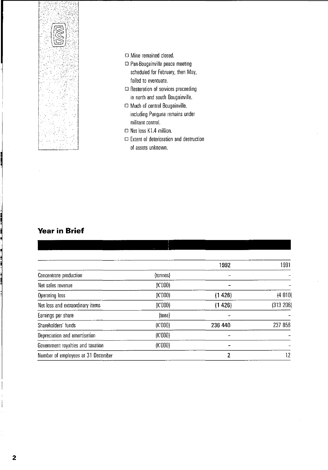

- D Mine remained closed.
- D Pan-Bougainville peace meeting scheduled for February, then May, failed to eventuate,
- $\square$  Restoration of services proceeding in north and south Bougainville.
- D Much of central Bougainville, including Panguna remains under militant control.
- $\Box$  Net loss K1.4 million.
- $\square$  Extent of deterioration and destruction of assets unknown.

### **Year in Brief**

|                                    |          | 1992    | 1991      |
|------------------------------------|----------|---------|-----------|
| Concentrate production             | (tonnes) |         |           |
| Net sales revenue                  | (K'000)  |         |           |
| Operating loss                     | (K'000)  | (1426)  | (4 010)   |
| Net loss and extraordinary items   | (K'000)  | (1426)  | (313 206) |
| Earnings per share                 | [toe]    |         |           |
| Shareholders' funds                | (K'000)  | 236 440 | 237 856   |
| Depreciation and amortisation      | (K'000)  |         |           |
| Government royalties and taxation  | (K'000)  |         |           |
| Number of employees at 31 December |          | 2       | 12        |
|                                    |          |         |           |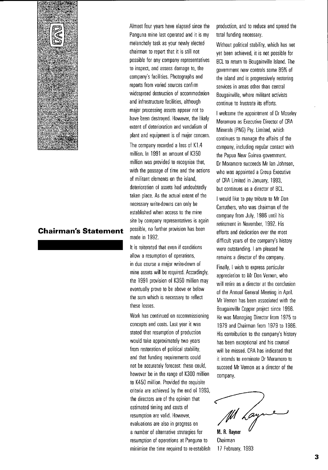

### **Chairman's Statement**

Almost four years have elapsed since the Panguna mine last operated and it is my melancholy task as your newly elected chairman to report that it is still not possible for any company representatives to inspect, and assess damage to, the company's facilities. Photographs and reports from varied sources confirm widespread destruction of accommodation and infrastructure facilities, although major processing assets appear not to have been destroyed. However, the likely extent of deterioration and vandalism of plant and equipment is of major concern.

The company recorded a loss of K1A million. In 1991 an amount of K35D million was provided to recognise that, with the passage of time and the actions of militant elements on the island, deterioration of assets had undoubtedly taken place. As the actual extent of the necessary write-downs can only be established when access to the mine site by company representatives is again possible, no funher provision has been made in 1992.

It is reiterated that even if conditions allow a resumption of operations, in due course a major write-down of mine assets will be required. Accordingly, the 1991 provision of K35D million may eventually prove to be above or below the sum which is necessary to reflect these losses.

Work has continued on recommissioning concepts and costs. last year it was stated that resumption of production would take approximately two years from restoration of political stability, and that funding requirements could not be accurately forecast: these could, however be in the range of K3DD million to K45D million. Provided the requisite criteria are achieved by the end of 1993, the directors are of the opinion that estimated timing and costs of resumption are valid. However, evaluations are also in progress on a number of alternative strategies for resumption of operations at Panguna to minimise the time required to re-establish production, and to reduce and spread the total funding necessary.

Without political stability, which has not yet been achieved, it is not possible for BCl to return to Bougainville Island. The government now controls some 85% of the island and is progressively restoring services in areas other than central Bougainville, where militant activists continue to frustrate its effons.

I welcome the appointment of Dr Moseley Moramoro as Executive Director of CRA Minerals (PNG) Pty. Limited, which continues to manage the affairs of the company, including regular contact with the Papua New Guinea government. Dr Moramoro succeeds Mr Ian Johnson, who was appointed a Group Executive of CRA Limited in January, 1993, but continues as a director of BCl.

I would like to pay tribute to Mr Don Carruthers, who was chairman of the company from July, 1986 until his retirement in November, 1992. His effons and dedication over the most difficult years of the company's history were outstanding. I am pleased he remains a director of the company.

Finally, I wish to express particular appreciation to Mr Don Vernon, who will retire as a director at the conclusion of the Annual General Meeting in April. Mr Vernon has been associated with the Bougainville Copper project since 1966. He was Managing Director from 1975 to 1979 and Chairman from 1979 to 1986. His contribution to the company's history has been exceptional and his counsel will be missed. CRA has indicated that it intends to nominate Dr Moramoro to succeed Mr Vernon as a director of the company.

/~ **R.** Rayner

M. R. Rayner Chairman 17 February, 1993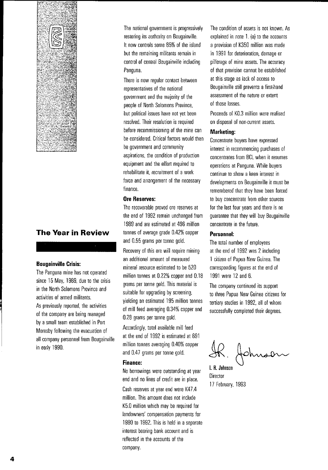

### **The Year in Review**

#### **Bougainville Crisis:**

The Panguna mine has not operated since 15 May, 1989, due to the crisis in the North Solomons Province and activities of armed militants. As previously reported, the activities of the company are being managed by a small team established in Port Moresby following the evacuation of all company personnel from Bougainville in early 1990.

The national government is progressively restoring its authority on Bougainville. It now controls some 85% of the island but the remaining militants remain in control of central Bougainville including Panguna.

There is now regular contact between representatives of the national government and the majority of the people of North Solomons Province, but political issues have not yet been resolved. Their resolution is required before recommissioning of the mine can be considered. Critical factors would then be government and community aspirations, the condition of production equipment and the effort required to rehabilitate it, recruitment of a work force and arrangement of the necessary finance.

#### **Ore Reserves:**

The recoverable proved ore reserves at the end of 1992 remain unchanged from 1989 and are estimated at 496 million tonnes of average grade 0.42% copper and 0.55 grams per tonne gold.

Recovery of this ore will require mining an additional amount of measured mineral resource estimated to be 520 million tonnes at 0.22% copper and 0.18 grams per tonne gold. This material is suitable for upgrading by screening, yielding an estimated 195 million tonnes of mill feed averaging 0.34% copper and 0.28 grams per tonne gold.

Accordingly, total available mill feed at the end of 1992 is estimated at 691 million tonnes averaging 0.40% copper and 0.47 grams per tonne gold.

#### **Finance:**

No borrowings were outstanding at year end and no lines of credit are in place.

Cash reserves at year end were K47.4 million. This amount does not include K5.0 million which may be required for landowners' compensation payments for 1990 to 1992. This is held in a separate interest bearing bank account and is reflected in the accounts of the company.

The condition of assets is not known. As explained in note  $1.$  (a) to the accounts a provision of K350 million was made in 1991 for deterioration, damage or pilferage of mine assets. The accuracy of that provision cannot be established at this stage as lack of access to Bougainville still prevents a first-hand assessment of the nature or extent of those losses.

Proceeds of KO.3 million were realised on disposal of non-current assets.

#### **Marketing:**

Concentrate buyers have expressed interest in recommencing purchases of concentrates from BCl when it resumes operations at Panguna. While buyers continue to show a keen interest in developments on Bougainville it must be remembered that they have been forced to buy concentrate from other sources for the last four years and there is no guarantee that they will buy Bougainville concentrate in the future.

#### **Personnel:**

The total number of employees at the end of 1992 was 2 including 1 citizen of Papua New Guinea. The corresponding figures at the end of 1991 were 12 and 6.

The company continued its support to three Papua New Guinea citizens for tertiary studies in 1992, all of whom successfully completed their degrees.

fohnsen

I. R. **Johnson Director** 17 February, 1993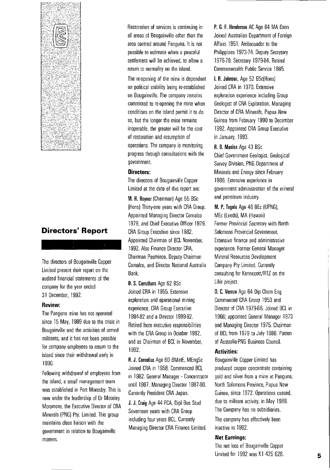

### **Directors' Report**

The directors of Bougainville Copper Limited present their report on the audited financial statements of the company for the year ended 31 December. 1992.

#### **Review:**

The Panguna mine has not operated since 15 May. 1989 due to the crisis in Bougainville and the activities of armed militants. and it has not been possible for company employees to retum to the island since their withdrawal early in 1990.

Following withdrawal of employees from the island. a small management team was established in Port Moresby. This is now under the leadership of Dr Moseley Moramoro. the Executive Director of CRA Minerals (PNG) Pty. Limited. This group maintains close liaison with the government in relation to Bougainville matters.

Restoration of services is continuing in all areas of Bougainville other than the area centred around Panguna. It is not possible to estimate when a peaceful settlement will be achieved. to allow a retum to normality on the island.

The re-opening of the mine is dependent on political stability being re-established on Bougainville. The company remains committed to re-opening the mine when conditions on the island permit it to do so. but the longer the mine remains inoperable. the greater will be the cost of restoration and resumption of operations. The company is monitoring progress through consultations with the government.

#### **Directors:**

The directors of Bougainville Copper Limited at the date of this report are:

M\_ R. Rayner (Chairman) Age 55 BSc (Hons) Thirty-one years with CRA Group. Appointed Managing Director Comalco 1978. and Chief Executive Officer 1979. CRA Group Executive since 1982. Appointed Chairman of BCL November. 1992. Also Finance Director CRA. Chairman Pasminco. Deputy Chairman Comalco. and Director National Australia Bank.

D. S. Carruthers Age 62 BSc Joined CRA in 1955. Extensive exploration and operational mining experience. CRA Group Executive 1984-92 and a Director 1989-92. Retired from executive responsibilities with the CRA Group in October 1992. and as Chairman of BCL in November. 1992.

R. J. Cornelius Age 60 BMetE. MEngSc Joined CRA in 1958. Commenced BCL in 1982. General Manager - Concentrator until 1987. Managing Director 1987-90. Currently President CRA Japan.

J. J. Craig Age 44 FCA. Dipl Bus Stud Seventeen years with CRA Group including four years BCL. Currently Managing Director CRA Finance Limited.

P. G. F. Henderson AC Age 64 MA Oxon Joined Australian Department of Foreign Affairs 1951. Ambassador to the Philippines 1973-74. Deputy Secretary 1976-79. Secretary 1979-84. Retired Commonwealth Public Service 1985.

I. R. Johnson. Age 52 BSc(Hons) Joined CRA in 1970. Extensive exploration experience including Group Geologist of CRA Exploration. Managing Director of CRA Minerals. Papua New Guinea from February 1990 to December 1992. Appointed CRA Group Executive in January. 1993.

#### R. B. Moaina Age 43 BSc

Chief Government Geologist. Geological Survey Division. PNG Depanment of Minerals and Energy since February 1986. Extensive experience in government administration of the mineral and petroleum industry.

M. P. Togolo Age 46 BEc (UPNG), MEc (Leeds). MA (Hawaii) Former Provincial Secretary with North Solomons Provincial Government. Extensive finance and administrative experience. Former General Manager Mineral Resources Development Company Pty Limited. Currently consulting for Kennecott/RTZ on the Lihir project.

D. C. Vernon Age 64 Dip Chem Eng Commenced CRA Group 1953 and Director of CRA 1979-86. Joined BCL in 1966; appointed General Manager 1973 and Managing Director 1975. Chairman of BCL from 1979 to July 1986. Patron of Australia-PNG Business Council.

#### **Activities:**

Bougainville Copper Limited has produced copper concentrate containing gold and silver from a mine at Panguna. North Solomons Province, Papua New Guinea. since 1972. Operations ceased. due to militant activity. in May 1989. The Company has no subsidiaries.

The company has effectively been inactive in 1992.

#### **Net Earnings:**

The net loss of Bougainville Copper Limited for 1992 was K1 425 628.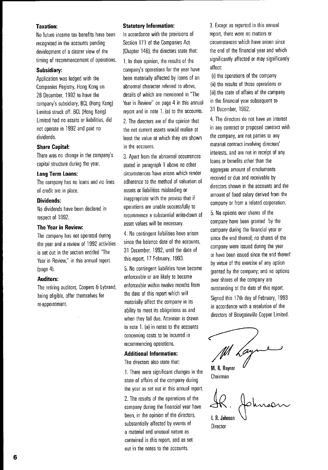#### **Taxation:**

No future income tax benefits have been recognised in the accounts pending development of a clearer view of the timing of recommencement of operations.

#### **Subsidiary:**

Application was lodged with the Companies Registry, Hong Kong on 28 December, 1992 to have the company's subsidiary, BCl (Hong Kong) Limited struck off. BCl (Hong Kong) Limited had no assets or liabilities, did not operate in 1992 and paid no dividends.

#### **Share Capital:**

There was no change in the company's capital structure during the year.

#### **long Term loans:**

The company has no loans and no lines of credit are in place.

#### **Dividends:**

No dividends have been declared in respect of 1992.

#### **The Year in Review:**

The company has not operated during the year and a review of 1992 activities is set out in the section entitled "The Year in Review," in this annual report (page 4).

#### **Auditors:**

The retiring auditors, Coopers & lybrand, being eligible, offer themselves for re·appointment.

#### **Statutory Information:**

In accordance with the provisions of Section 171 of the Companies Act (Chapter 146). the directors state that:

1. In their opinion, the results of the company's operations for the year have been materially affected by items of an abnormal character referred to above, details of which are mentioned in "The Year in Review" on page 4 in this annual report and in note 1. (a) to the accounts.

2. The directors are of the opinion that the net current assets would realise at least the value at which they are shown in the accounts.

3. Apart from the abnormal occurrences stated in paragraph 1 above no other circumstances have arisen which render adherence to the method of valuation of assets or liabilities misleading or inappropriate with the proviso that if operations are unable successfully to recommence a substantial write·down of asset values will be necessary.

4. No contingent liabilities have arisen since the balance date of the accounts, 31 December, 1992, until the date of this report, 17 February, 1993.

5. No contingent liabilities have become enforceable or are likely to become enforceable within twelve months from the date of this report which will materially affect the company in its ability to meet its obligations as and when they fall due. Attention is drawn to note 1. (a) in notes to the accounts conceming costs to be incurred in recommencing operations.

#### Additional Information:

The directors also state that:

1. There were significant changes in the state of affairs of the company during the year as set out in this annual report.

2. The results of the operations of the company during the financial year have been, in the opinion of the directors, substantially affected by events of a material and unusual nature as contained in this report, and as set out in the notes to the accounts.

3. Except as reported in this annual report, there were no matters or circumstances which have arisen since the end of the financial year and which significantly affected or may significantly affect:

(i) the operations of the company (ii) the results of those operations or (iii) the state of affairs of the company in the financial year subsequent to 31 December, 1992.

4. The directors do not have an interest in any contract or proposed contract with the company, are not parties to any material contract involving directors' interests, and are not in receipt of any loans or benefits other than the aggregate amount of emoluments received or due and receivable by directors shown in the accounts and the amount of fixed salary derived from the company or from a related corporation.

5. No options over shares of the company have been granted by the company during the financial year or since the end thereof; no shares of the company were issued during the year or have been issued since the end thereof by virtue of the exercise of any option granted by the company; and no options over shares of the company are outstanding at the date of this report. Signed this 17th day of February, 1993 in accordance with a resolution of the directors of Bougainville Copper Limited.

Lay

M. R. Rayner Chairman

Hohnson I. R. Johnson

**Director**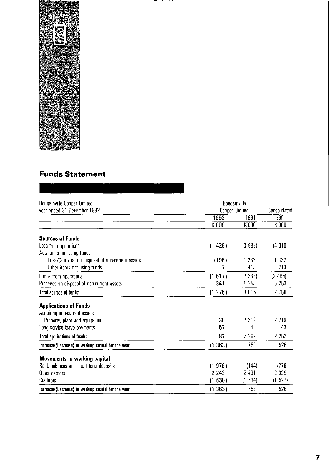

## **Funds Statement**

| Bougainville Copper Limited                         | Bougainville   |         |              |
|-----------------------------------------------------|----------------|---------|--------------|
| year ended 31 December 1992                         | Copper Limited |         | Consolidated |
|                                                     | 1992           | 1991    | 1991         |
|                                                     | K'000          | K'000   | K'000        |
| <b>Sources of Funds</b>                             |                |         |              |
| Loss from operations                                | (1426)         | (3 988) | (4 010)      |
| Add items not using funds                           |                |         |              |
| Loss/(Surplus) on disposal of non-current assets    | (198)          | 1 3 3 2 | 1 3 3 2      |
| Other items not using funds                         | 7              | 418     | 213          |
| Funds from operations                               | (1617)         | (2 238) | (2465)       |
| Proceeds on disposal of non-current assets          | 341            | 5 2 5 3 | 5 2 5 3      |
| <b>Total sources of funds:</b>                      | (1276)         | 3015    | 2 7 8 8      |
| <b>Applications of Funds</b>                        |                |         |              |
| Acquiring non-current assets                        |                |         |              |
| Property, plant and equipment                       | 30             | 2 2 1 9 | 2 2 1 9      |
| Long service leave payments                         | 57             | 43      | 43           |
| Total applications of funds:                        | 87             | 2 2 6 2 | 2 2 6 2      |
| Increase/(Decrease) in working capital for the year | (1363)         | 753     | 526          |
| <b>Movements in working capital</b>                 |                |         |              |
| Bank balances and short term deposits               | (1976)         | (144)   | (276)        |
| Other debtors                                       | 2 2 4 3        | 2 4 3 1 | 2 3 2 9      |
| Creditors                                           | (1630)         | (1534)  | (1527)       |
| Increase/(Decrease) in working capital for the year | (1363)         | 753     | 526          |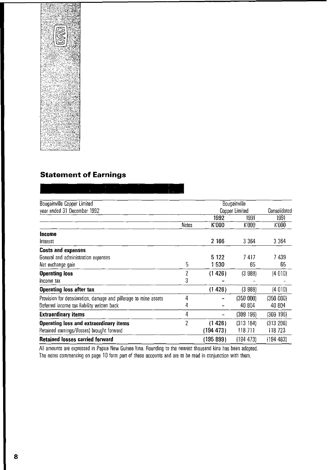

### **Statement of Earnings**

Bougainville Copper Limited Bougainville year ended 31 December 1992 **Consolidated** Consolidated Consolidated Consolidated 1992 1991 1991 Notes K'OOO K'ooO K'OOO **Income**  Interest 2 166 3364 3364 **Costs and expenses**  General and administration expenses 6122 5122 7417 7439 Net exchange gain 5 1 530 65 65 **Operating loss** (4 010) Income tax 3 **Operating loss after tax** (1 426) (3 988) (4 010) Provision for deterioration, damage and pilferage to mine assets  $\overline{a}$  4  $\overline{a}$  (350 000) (350 000) (350 000) Deferred income tax liability written back  $4 - 40804 + 40804$ **Extraordinary items** 4 (309 196) (309 196) **Operating loss and extraordinary items** 2 (1426) (313184) (313206) Retained earnings/(losses) brought forward (194 473) 118 711 118 723 **Retained losses carried forward** (195899) (194473) (194483)

Ali amounts are expressed in Papua New Guinea kina. Rounding to the nearest thousand kina has been adopted. The notes commencing on page 10 form part of these accounts and are to be read in conjunction with them.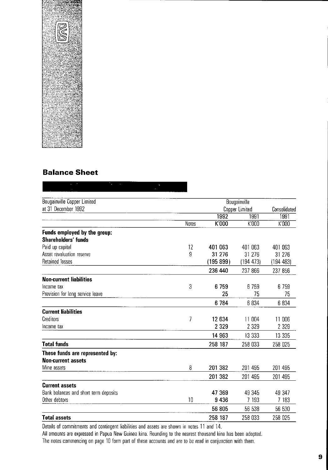

### **Balance Sheet**

| <b>Bougainville Copper Limited</b>    |       |           | Bougainville        |              |
|---------------------------------------|-------|-----------|---------------------|--------------|
| at 31 December 1992                   |       |           | Copper Limited      | Consolidated |
|                                       |       | 1992      | 1991                | 1991         |
|                                       | Notes | K'000     | $\overline{K}$ '000 | K'000        |
| Funds employed by the group:          |       |           |                     |              |
| Shareholders' funds                   |       |           |                     |              |
| Paid up capital                       | 12    | 401 063   | 401 063             | 401 063      |
| Asset revaluation reserve             | 9     | 31 276    | 31 276              | 31 276       |
| <b>Retained losses</b>                |       | (195 899) | (194 473)           | (194483)     |
|                                       |       | 236 440   | 237 866             | 237 856      |
| <b>Non-current liabilities</b>        |       |           |                     |              |
| Income tax                            | 3     | 6759      | 6759                | 6 7 5 9      |
| Provision for long service leave      |       | 25        | 75                  | 75           |
|                                       |       | 6784      | 6 8 3 4             | 6 834        |
| <b>Current liabilities</b>            |       |           |                     |              |
| Creditors                             | 7     | 12 634    | 11 004              | 11 006       |
| Income tax                            |       | 2 3 2 9   | 2 3 2 9             | 2 3 2 9      |
|                                       |       | 14 963    | 13 3 3 3            | 13 335       |
| <b>Total funds</b>                    |       | 258 187   | 258 033             | 258 025      |
| These funds are represented by:       |       |           |                     |              |
| <b>Non-current assets</b>             |       |           |                     |              |
| Mine assets                           | 8     | 201 382   | 201 495             | 201 495      |
|                                       |       | 201 382   | 201 495             | 201 495      |
| <b>Current assets</b>                 |       |           |                     |              |
| Bank balances and short term deposits |       | 47 369    | 49 345              | 49 347       |
| Other debtors                         | 10    | 9436      | 7 193               | 7 183        |
|                                       |       | 56 805    | 56 538              | 56 530       |
| <b>Total assets</b>                   |       | 258 187   | 258 033             | 258 025      |

Details of commitments and contingent liabilities and assets are shown in notes 11 and 14.

All amounts are expressed in Papua New Guinea kina. Rounding to the nearest thousand kina has been adopted. The notes commencing on page 10 form parr of these accounts and are to be read in conjunction with them.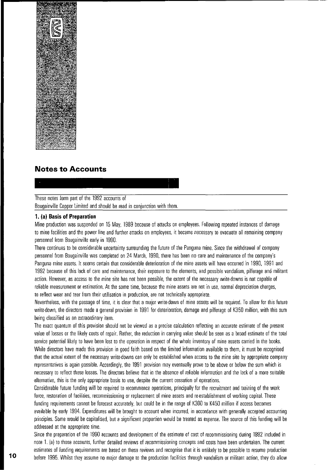

### **Notes to Accounts**

#### These notes form part of the 1992 accounts of

Bougainville Copper Limited and should be read in conjunction with them.

#### **1. (al Basis of Preparation**

Mine production was suspended on 15 May, 1989 because of attacks on employees. Following repeated instances of damage to mine facilities and the power line and further attacks on employees, it became necessary to evacuate all remaining company personnel from Bougainville early in 1990.

There continues to be considerable uncertainty surrounding the future of the Panguna mine. Since the withdrawal of company personnel from Bougainville was completed on 24 March, 1990, there has been no care and maintenance of the company's Panguna mine assets. It seems certain that considerable deterioration of the mine assets will have occurred in 1990, 1991 and 1992 because of this lack of care and maintenance, their exposure to the elements, and possible vandalism, pilferage and militant action. However, as access to the mine site has not been possible, the extent of the necessary write-downs is not capable of reliable measurement or estimation. At the same time, because the mine assets are not in use, normal depreciation charges, to reflect wear and tear from their utilisation in production, are not technically appropriate.

Nevertheless, with the passage of time, it is clear that a major write-down of mine assets will be required. To allow for this future write-down, the directors made a general provision in 1991 for deterioration, damage and pilferage of K350 million, with this sum being classified as an extraordinary item.

The exact quantum of this provision should not be viewed as a precise calculation reflecting an accurate estimate of the present value of losses or the likely costs of repair. Rather, the reduction in carrying value should be seen as a broad estimate of the total service potential likely to have been lost to the operation in respect of the whole inventory of mine assets carried in the books. While directors have made this provision in good faith based on the limited information available to them, it must be recognised that the actual extent of the necessary write-downs can only be established when access to the mine site by appropriate company representatives is again possible. Accordingly, the 1991 provision may eventually prove to be above or below the sum which is necessary to reflect these losses. The directors believe that in the absence of reliable information and the lack of a more suitable ~lternative, this is the only appropriate basis to use, despite the current cessation of operations.

Considerable future funding will be required to recommence operations, principally for the recruitment and training of the work force, restoration of facilities, recommissioning or replacement of mine assets and re-establishment of working capital. These funding requirements cannot be forecast accurately, but could be in the range of K300 to K450 million if access becomes available by early 1994. Expenditures will be brought to account when incurred, in accordance with generally accepted accounting principles. Some would be capitalised, but a significant proportion would be treated as expense. The source of this funding will be addressed at the appropriate time.

Since the preparation of the 1990 accounts and development of the estimate of cost of recommissioning during 1992 included in note 1. (a) to those accounts, further detailed reviews of recommissioning concepts and costs have been undertaken. The current estimates of funding requirements are based on these reviews and recognise that it is unlikely to be possible to resume production before 1995. Whilst they assume no major damage to the production facilities through vandalism or militant action, they do allow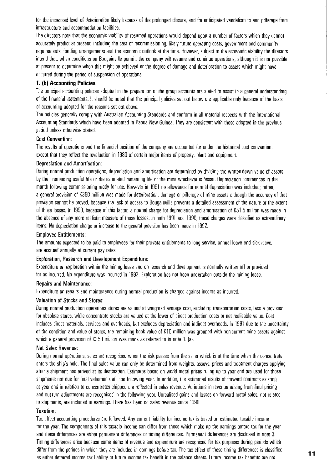for the increased level of deterioration likely because of the prolonged closure, and for anticipated vandalism to and pilferage from infrastructure and accommodation facilities.

The directors note that the economic viability of resumed operations would depend upon a number of factors which they cannot accurately predict at present. including the cost of recommissioning, likely future operating costs, govemment and community requirements, funding arrangements and the economic outlook at the time. However, subject to the economic viability the directors intend that, when conditions on Bougainville permit. the company will resume and continue operations, although it is not possible at present to determine when this might be achieved or the degree of damage and deterioration to assets which might have occurred during the period of suspension of operations.

#### **1. (bl Accounting Policies**

The principal accounting policies adopted in the preparation of the group accounts are stated to assist in a general understanding of the financial statements. It should be noted that the principal policies set out below are applicable only because of the basis of accounting adopted for the reasons set out above.

The policies generally comply with Australian Accounting Standards and conform in all material respects with the International Accounting Standards which have been adopted in Papua New Guinea. They are consistent with those adopted in the previous period unless otherwise stated.

#### Cost Convention:

The results of operations and the financial position of the company are accounted for under the historical cost convention, except that they reflect the revaluation in 1980 of certain major items of property, plant and equipment.

#### Depreciation and Amortisation:

During normal production operations, depreciation and amonisation are determined by dividing the written-down value of assets by their remaining useful life or the estimated remaining life of the mine whichever is lesser. Depreciation commences in the month following commissioning ready for use. However in 1991 no allowance for normal depreciation was included; rather, a general provision of K350 million was made for deterioration, damage or pilferage of mine assets although the accuracy of that provision cannot be proved, because the lack of access to Bougainville prevents a detailed assessment of the nature or the extent of those losses. In 1990, because of this factor, a normal charge for depreciation and amonisation of K51.5 million was made in the absence of any more realistic measure of those losses. In both 1991 and 1990, these charges were classified as extraordinary items. No depreciation charge or increase to the general provision has been made in 1992.

#### Employee Entitlements:

The amounts expected to be paid to employees for their pro·rata entitlements to long service, annual leave and sick leave, are accrued annually at current pay rates.

#### Exploration, Research and Development Expenditure:

Expenditure on exploration within the mining lease and on research and development is normally written off or provided for as incurred. No expenditure was incurred in 1992. Exploration has not been undenaken outside the mining lease.

#### Repairs and Maintenance:

Expenditure on repairs and maintenance during normal production is charged against income as incurred.

#### Valuation of Stocks and Stores:

During normal production operations stores are valued at weighted average cost, excluding transportation costs, less a provision for obsolete stores, while concentrate stocks are valued at the lower of direct production costs or net realisable value. Cost includes direct materials, services and overheads, but excludes depreciation and indirect overheads. In 1991 due to the uncenainty of the condition and value of stores, the remaining book value of Kl 0 million was grouped with non·current mine assets against which a general provision of K350 million was made as referred to in note 1. (a).

#### Net Sales Revenue:

During normal operations, sales are recognised when the risk passes from the seller which is at the time when the concentrate enters the ship's hold. The final sales value can only be determined from weights, assays, prices and treatment charges applying after a shipment has arrived at its destination. Estimates based on world metal prices ruling up to year end are used for those shipments not due for final valuation until the following year. In addition, the estimated results of forward contracts existing at year end in relation to concentrates shipped are reflected in sales revenue. Variations in revenue arising from final pricing and out·turn adjustments are recognised in the following year. Unrealised gains and losses on forward metal sales, not related to shipments, are included in eamings. There has been no sales revenue since 1990.

#### Taxation:

Tax effect accounting procedures are followed. Any current liability for income tax is based on estimated taxable income for the year. The components of this taxable income can differ from those which make up the eamings before tax for the year and these differences are either permanent differences or timing differences. Permanent differences are disclosed in note 3. Timing differences arise because some items of revenue and expenditure are recognised for tax purposes during periods which differ from the periods in which they are included in eamings before tax. The tax effect of these timing differences is classified as either deferred income tax liability or future income tax benefit in the balance sheets. Future income tax benefits are not **11**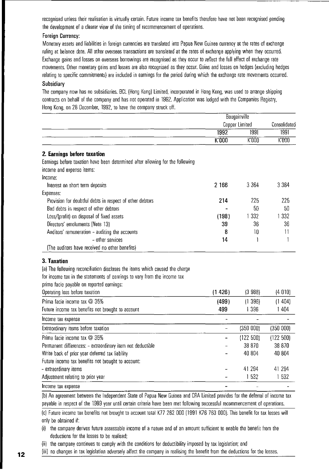recognised unless their realisation is virtually certain. Future income tax benefits therefore have not been recognised pending the development of a clearer view of the timing of recommencement of operations.

#### Foreign Currency:

Monetary assets and liabilities in foreign currencies are translated into Papua New Guinea currency at the rates of exchange ruling at balance date. All other overseas transactions are translated at the rates of exchange applying when they occurred. Exchange gains and losses on overseas borrowings are recognised as they occur to reflect the full effect of exchange rate movements. Other monetary gains and losses are also recognised as they occur. Gains and losses on hedges (excluding hedges relating to specific commitments) are included in earnings for the period during which the exchange rate movements occurred.

#### **Subsidiary**

The company now has no subsidiaries. BCl (Hong Kong) Limited, incorporated in Hong Kong, was used to arrange shipping contracts on behalf of the company and has not operated in 1992. Application was lodged with the Companies Registry, Hong Kong, on 28 December, 1992, to have the company struck off.

|                                                                                |        | Bougainville   |              |  |
|--------------------------------------------------------------------------------|--------|----------------|--------------|--|
|                                                                                |        | Copper Limited | Consolidated |  |
|                                                                                | 1992   | 1991           | 1991         |  |
|                                                                                | K'000  | K000           | K'000        |  |
| 2. Earnings before taxation                                                    |        |                |              |  |
| Earnings before taxation have been determined after allowing for the following |        |                |              |  |
| income and expense items:                                                      |        |                |              |  |
| Income:                                                                        |        |                |              |  |
| Interest on short term deposits                                                | 2 166  | 3 3 6 4        | 3 3 6 4      |  |
| Expenses:                                                                      |        |                |              |  |
| Provision for doubtful debts in respect of other debtors                       | 214    | 225            | 225          |  |
| Bad debts in respect of other debtors                                          |        | 50             | 50           |  |
| Loss/(profit) on disposal of fixed assets                                      | (198)  | 1 3 3 2        | 1 3 3 2      |  |
| Directors' emoluments (Note 13)                                                | 39     | 36             | 36           |  |
| Auditors' remuneration - auditing the accounts                                 | 8      | 10             | 11           |  |
| - other services                                                               | 14     | 1              | 1            |  |
| (The auditors have received no other benefits)                                 |        |                |              |  |
| 3. Taxation                                                                    |        |                |              |  |
| (a) The following reconciliation discloses the items which caused the charge   |        |                |              |  |
| for income tax in the statements of earnings to vary from the income tax       |        |                |              |  |
| prima facie payable on reported earnings:                                      |        |                |              |  |
| Operating loss before taxation                                                 | (1426) | (3 988)        | (4 010)      |  |
| Prima facie income tax @ 35%                                                   | (499)  | (1396)         | (1404)       |  |
| Future income tax benefits not brought to account                              | 499    | 1 3 9 6        | 1 4 0 4      |  |
| Income tax expense                                                             |        |                |              |  |
| Extraordinary items before taxation                                            | -      | (350 000)      | (350 000)    |  |
| Prima facie income tax @ 35%                                                   |        | (122 500)      | (122 500)    |  |
| Permanent differences: - extraordinary item not deductible                     |        | 38 870         | 38 870       |  |
| Write back of prior year deferred tax liability                                |        | 40 804         | 40 804       |  |
| Future income tax benefits not brought to account:                             |        |                |              |  |
| - extraordinary items                                                          |        | 41 294         | 41 294       |  |
| Adjustment relating to prior year                                              |        | 1532           | 1 532        |  |
| Income tax expense                                                             |        |                |              |  |

(b) An agreement between the Independent State of Papua New Guinea and CRA limited provides for the deferral of income tax payable in respect of the 1989 year until certain criteria have been met following successful recommencement of operations.

(c) Future income tax benefits not brought to account total K77 262 000 (1991 K76 763 ODD). This benefit for tax losses will only be obtained if:

(i) the company derives future assessable incorne of a nature and of an amount sufficient to enable the benefit from the deductions for the losses to be realised;

(ii) the company continues to comply with the conditions for deductibility imposed by tax legislation; and

(iii) no changes in tax legislation adversely affect the company in realising the benefit from the deductions for the losses.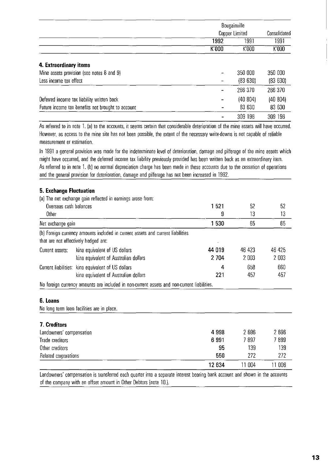|                                                   | Bougainville |                |              |  |
|---------------------------------------------------|--------------|----------------|--------------|--|
|                                                   |              | Copper Limited | Consolidated |  |
|                                                   | 1992         | 1991           | 1991         |  |
|                                                   | K'000        | K'000          | K'000        |  |
| 4. Extraordinary items                            |              |                |              |  |
| Mine assets provision (see notes 8 and 9)         |              | 350 000        | 350 000      |  |
| Less income tax effect                            |              | (83630)        | (83630)      |  |
|                                                   |              | 266 370        | 266 370      |  |
| Deferred income tax liability written back        |              | (40 804)       | (40 804)     |  |
| Future income tax benefits not brought to account |              | 83 630         | 83 630       |  |
|                                                   |              | 309 196        | 309 196      |  |

As referred to in note 1. (a) to the accounts, it seems certain that considerable deterioration of the mine assets will have occurred. However, as access to the mine site has not been possible, the extent of the necessary write-downs is not capable of reliable measurement or estimation.

In 1991 a general provision was made for the indeterminate level of deterioration, damage and pilferage of the mine assets which might have occurred, and the deferred income tax liability previously provided has been written back as an extraordinary item. As referred to in note 1. (b) no normal depreciation charge has been made in these accounts due to the cessation of operations and the general provision for deterioration, damage and pilferage has not been increased in 1992.

#### **5, Exchange Fluctuation**

| J. LAGHANG I IUGUAHUN  |                                                                                                                         |         |        |        |
|------------------------|-------------------------------------------------------------------------------------------------------------------------|---------|--------|--------|
|                        | (a) The net exchange gain reflected in earnings arose from:                                                             |         |        |        |
| Overseas cash balances |                                                                                                                         | 1521    | 52     | 52     |
| Other                  |                                                                                                                         | 9       | 13     | 13     |
| Net exchange gain      |                                                                                                                         | 1530    | 65     | 65     |
|                        | (b) Foreign currency amounts included in current assets and current liabilities<br>that are not effectively hedged are: |         |        |        |
| Current assets:        | kina equivalent of US dollars                                                                                           | 44 019  | 46 423 | 46 425 |
|                        | kina equivalent of Australian dollars                                                                                   | 2 7 0 4 | 2003   | 2003   |
|                        | Current liabilities: kina equivalent of US dollars                                                                      | 4       | 658    | 660    |
|                        | kina equivalent of Australian dollars                                                                                   | 221     | 457    | 457    |
|                        | No foreign currency amounts are included in non-current assets and non-current liabilities.                             |         |        |        |

#### **6, Loans**

No long term loan facilities are in place.

| 7. Creditors             |         |        |         |
|--------------------------|---------|--------|---------|
| Landowners' compensation | 4 9 9 8 | 2696   | 2 696   |
| Trade creditors          | 6991    | 7 897  | 7 899   |
| Other creditors          | 95      | 139    | 139     |
| Related corporations     | 550     | 272    | 272     |
|                          | 12 634  | 11 004 | l 1 006 |

Landowners' compensation is transferred each quarter into a separate interest bearing bank account and shown in the accounts of the company with an offset amount in Other Debtors (note 10.).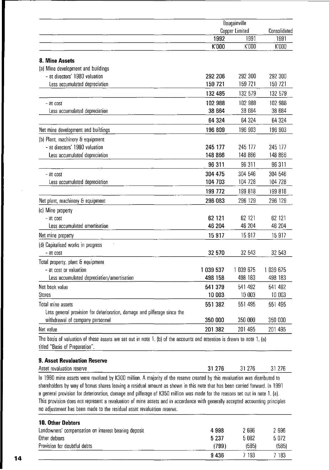|                                                                                                                                                           | Bougainville |                       |              |  |
|-----------------------------------------------------------------------------------------------------------------------------------------------------------|--------------|-----------------------|--------------|--|
|                                                                                                                                                           |              | <b>Copper Limited</b> | Consolidated |  |
|                                                                                                                                                           | 1992         | 1991                  | 1991         |  |
|                                                                                                                                                           | K'000        | K'000                 | K'000        |  |
| 8. Mine Assets                                                                                                                                            |              |                       |              |  |
| (a) Mine development and buildings                                                                                                                        |              |                       |              |  |
| - at directors' 1980 valuation                                                                                                                            | 292 206      | 292 300               | 292 300      |  |
| Less accumulated depreciation                                                                                                                             | 159 721      | 159 721               | 159 721      |  |
|                                                                                                                                                           | 132 485      | 132 579               | 132 579      |  |
| - at cost                                                                                                                                                 | 102 988      | 102 988               | 102 988      |  |
| Less accumulated depreciation                                                                                                                             | 38 664       | 38 664                | 38 664       |  |
|                                                                                                                                                           | 64 324       | 64 324                | 64 324       |  |
| Net mine development and buildings                                                                                                                        | 196 809      | 196 903               | 196 903      |  |
| (b) Plant, machinery & equipment                                                                                                                          |              |                       |              |  |
| - at directors' 1980 valuation                                                                                                                            | 245 177      | 245 177               | 245 177      |  |
| Less accumulated depreciation                                                                                                                             | 148 866      | 148 866               | 148 866      |  |
|                                                                                                                                                           | 96 311       | 96 311                | 96 311       |  |
| - at cost                                                                                                                                                 | 304 475      | 304 546               | 304 546      |  |
| Less accumulated depreciation                                                                                                                             | 104 703      | 104 728               | 104 728      |  |
|                                                                                                                                                           | 199 772      | 199 818               | 199 818      |  |
| Net plant, machinery & equipment                                                                                                                          | 296 083      | 296 129               | 296 129      |  |
| (c) Mine property                                                                                                                                         |              |                       |              |  |
| $-$ at cost                                                                                                                                               | 62 121       | 62 121                | 62 121       |  |
| Less accumulated amortisation                                                                                                                             | 46 204       | 46 204                | 46 204       |  |
| Net mine property                                                                                                                                         | 15 917       | 15917                 | 15 917       |  |
| (d) Capitalised works in progress                                                                                                                         |              |                       |              |  |
| - at cost                                                                                                                                                 | 32 570       | 32 543                | 32 543       |  |
| Total property, plant & equipment                                                                                                                         |              |                       |              |  |
| - at cost or valuation                                                                                                                                    | 039 537      | 1 039 675             | 1 039 675    |  |
| Less accumulated depreciation/amortisation                                                                                                                | 498 158      | 498 183               | 498 183      |  |
| Net book value                                                                                                                                            | 541 379      | 541 492               | 541 492      |  |
| Stores                                                                                                                                                    | 10 003       | 10 003                | 10 003       |  |
| Total mine assets                                                                                                                                         | 551 382      | 551 495               | 551 495      |  |
| Less general provision for deterioration, damage and pilferage since the                                                                                  |              |                       |              |  |
| withdrawal of company personnel                                                                                                                           | 350 000      | 350 000               | 350 000      |  |
| Net value                                                                                                                                                 | 201 382      | 201 495               | 201 495      |  |
| The basis of valuation of these assets are set out in note 1. (b) of the accounts and attention is drawn to note 1. (a)<br>titled "Basis of Preparation". |              |                       |              |  |

| <b>9. Asset Revaluation Reserve</b>                                                                                                                                                                                                                                                                                                                                                                                                                                                                                                                                                                   |        |         |        |
|-------------------------------------------------------------------------------------------------------------------------------------------------------------------------------------------------------------------------------------------------------------------------------------------------------------------------------------------------------------------------------------------------------------------------------------------------------------------------------------------------------------------------------------------------------------------------------------------------------|--------|---------|--------|
| Asset revaluation reserve                                                                                                                                                                                                                                                                                                                                                                                                                                                                                                                                                                             | 31 276 | -31 276 | 31 276 |
| In 1980 mine assets were revalued by K300 million. A majority of the reserve created by this revaluation was distributed to<br>shareholders by way of bonus shares leaving a residual amount as shown in this note that has been carried forward. In 1991<br>a general provision for deterioration, damage and pilferage of K350 million was made for the reasons set out in note 1. (a).<br>This provision does not represent a revaluation of mine assets and in accordance with generally accepted accounting principles<br>no adjustment has been made to the residual asset revaluation reserve. |        |         |        |

| <b>10. Other Debtors</b>                             |         |       |         |
|------------------------------------------------------|---------|-------|---------|
| Landowners' compensation on interest bearing deposit | 4998    | 2 696 | 2 6 9 6 |
| Other debtors                                        | 5 2 3 7 | 5082  | 5 072   |
| Provision for doubtful debts                         | (799)   | (585) | (585)   |
|                                                      | 9436    | 7 193 | 7 183   |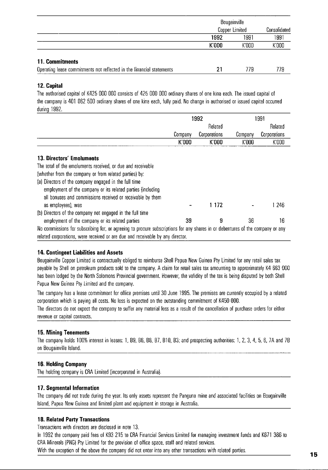|                                                                       | Bougainville<br>Copper Limited |       | Consolidated |  |
|-----------------------------------------------------------------------|--------------------------------|-------|--------------|--|
|                                                                       | 1991<br>1992                   |       | 1991         |  |
|                                                                       | K'000                          | K'000 | K'000        |  |
| 11. Commitments                                                       |                                |       |              |  |
| Operating lease commitments not reflected in the financial statements | 21                             | 779   | 779          |  |
|                                                                       |                                |       |              |  |

#### **12. Capital**

The authorised capital of K425 000 000 consists of 425 000 000 ordinary shares of one kina each. The issued capital of the company is 401 062 500 ordinary shares of one kina each, fully paid. No change in authorised or issued capital occurred during 1992.

|                                                                                                                                | 1992    |              | 1991    |              |
|--------------------------------------------------------------------------------------------------------------------------------|---------|--------------|---------|--------------|
|                                                                                                                                |         | Related      |         | Related      |
|                                                                                                                                | Company | Corporations | Company | Corporations |
|                                                                                                                                | K'000   | K'000        | K'000   | K'000        |
| 13. Directors' Emoluments                                                                                                      |         |              |         |              |
| The total of the emoluments received, or due and receivable                                                                    |         |              |         |              |
| (whether from the company or from related parties) by:                                                                         |         |              |         |              |
| (a) Directors of the company engaged in the full time                                                                          |         |              |         |              |
| employment of the company or its related parties (including                                                                    |         |              |         |              |
| all bonuses and commissions received or receivable by them                                                                     |         |              |         |              |
| as employees), was                                                                                                             |         | 1 1 7 2      |         | ∣246         |
| (b) Directors of the company not engaged in the full time                                                                      |         |              |         |              |
| employment of the company or its related parties                                                                               | 39      | 9            | 36      | 16           |
| No commissions for subscribing for, or agreeing to procure subscriptions for any shares in or debentures of the company or any |         |              |         |              |

related corporations. were received or are due and receivable by any director.

#### **14. Contingent Liabilities and Assets**

Bougainville Copper Limited is contractually obliged to reimburse Shell Papua New Guinea Ply Limited for any retail sales tax payable by Shell on petroleum products sold to the company. A claim for retail sales tax amounting to approximately K4 663 000 has been lodged by the Nonh Solomons Provincial government. However. the validity of the tax is being disputed by both Shell Papua New Guinea Pty Limited and the company.

The company has a lease commitment for office premises until 30 June 1995. The premises are currently occupied by a related corporation which is paying all costs. No loss is expected on the outstanding commitment of K450 000.

The directors do not expect the company to suffer any material loss as a result of the cancellation of purchase orders for either revenue or capital contracts.

#### **15. Mining Tenements**

The company holds 100% interest in leases: 1. B9. B6. B8. B7. BIO. B3; and prospecting authorities: 1.2.3.4.5.6. 7A and 7B on Bougainville Island.

#### **16. Holding Company**

The holding company is CRA Limited (incorporated in Australia).

#### **17.** Segmental Information

The company did not trade during the year. Its only assets represent the Panguna mine and associated facilities on Bougainville Island. Papua New Guinea and lirnited plant and equipment in storage in Australia.

#### **18. Related Party Transactions**

Transactions with directors are disclosed in note 13.

In 1992 the company paid fees of K93 215 to CRA Financial Services Limited for managing investment funds and K671 386 to CRA Minerals (PNG) Pty Limited for the provision of office space. staff and related services.

With the exception of the above the company did not enter into any other transactions with related parties.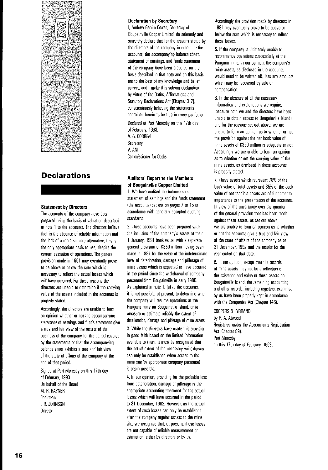

### **Declarations**

#### **Statement by Directors**

The accounts of the company have been prepared using the basis of valuation described **in note 1 to the accounts. The directors believe**  that in the absence of reliable information and **the lack of a more suitable alternative. this is**  the only appropriate basis 10 use. despite the **current cessation of operations. The general**  provision made in 1991 may eventually prove **to be above or below the sum which is**  necessary 10 reflect the actual losses which **will have occurred. For these reasons the directors are unable to determine if the carrying value of the assets included in the accounts is**  properly stated.

Accordingly. the directors are unable to form **an opinion whether or not the accompanying**  statement of earnings and funds statement give **a true and fair view of the results of the**  business of the company for the period covered by the statements or that the accompanying **balance sheet exhibits a true and fair view**  of the state of affairs of the company at the end of that period.

Signed at Port Moresby on this 17th day of February. 1993. On behalf of the Board M. R. RAYNER Chairman I. R. JOHNSON **Director** 

#### **Declaration by Secretary**

I. Andrew Genim Corren. Secretary of Bougainville Copper Limited. do solemnly and sincerely declare that for the reasons stated by the directors of the company in note 1 to the accounts. the accompanying balance sheet. **statement of earnings, and funds statement**  of the company have been prepared on the basis described in that note and on this basis are 10 the best of my knowledge and belief. **correct and I make this solemn declaration**  by virtue of the Oaths. Affirmations and Statutory Declarations Act (Chapter 317). **conscientiously believing the statements contained herein to be true in every particular.** 

Declared at Port Moresby on this 17th day of February. 1993. A. G. CORREN Secretary V. ANI Commissioner for Oaths

#### **Auditors' Report to the Members of Bougainville Copper Limited**

1. We have audited the balance sheet. **statement of earnings and the funds statement**  (the accountsl set out on pages 7 to 15 in accordance with generally accepted auditing standards.

2. These accounts have been prepared with **the inclusion of the company's assets at their**  1 January. 1991 book value. with a separate general provision of K350 million having been made in 1991 for the value of the indeterminate level of deterioration. damage and pilferage of **mine assets which is expected to have occurred**  in the period since the withdrawal of company personnel from Bougainville in early 1990. As explained in note 1. (a) to the accounts, **it is not possible, at present, to determine when the company will resume operations at the**  Panguna mine on Bougainville Island. or 10 **measure or estimate reliably the extent of**  deterioration, damage and pilferage of mine assets.

**3. While the directors have made this provision**  in good faith based on the limited information available 10 them. it must be recognised that **the actual extent of the necessary write-downs**  can only be established when access to the **mine site by appropriate company personnel**  is again possible.

4. In our opinion. providing for the probable loss from deterioration. damage or pilferage is the **appropriate accounting treatment for the actual losses which will have occurred in the period**  to 31 December. 1992. However. as the actual extent of such losses can only be established **after the company regains access to the mine**  site, we recognise that, at present, those losses **are not capable of reliable measurement or estimation, either by directors or by us.** 

**Accordingly the provision made by directors in**  1991 may eventually prove to be above or below the sum which is necessary to reflect **these losses.** 

5. If the company is ultimately unable to recommence operations successfully at the **Panguna mine, in our opinion, the company's mine assets, as disclosed in the accounts,**  would need to be written off. less any amounts which may be recovered by sale or **compensation.** 

6. In the absence of all the necessary **information and explanations we require,**  (because both we and the directors have been unable to obtain access to Bougainville Island) **and for the reasons set out above, we are unable to form an opinion as to whether or not the provision against the net book value of**  mine assets of K350 million is adequate or not. Accordingly we are unable to form an opinion as to whether or not the carrying value of the **mine assets, as disclosed in these accounts,**  is properly stated.

7. These assets which represent 7B% of the book value of total assets and B5% of the book **value of net tangible assets are of fundamental imponance to the presentation of the accounts. In view of the uncertainty over the quantum**  of the general provision that has been made **against these assets, as set out above, we are unable to form an opinion as to whether or not the accounts give a true and fair view**  of the state of affairs of the company as at 31 December. 1992 and the results for the year ended on that date.

B. In our opinion. except that the records **of mine assets may not be a reflection of the existence and value of those assets on Bougainville Island, the remaining accounting and other records, including registers, examined**  by us have been properly kept in accordance with the Companies Act (Chapter 146).

#### COOPERS & LYBRAND

by P. A. Atwood Registered under the Accountants Registration Act (Chapter 89). Port Moresby, on this 17th day of February. 1993.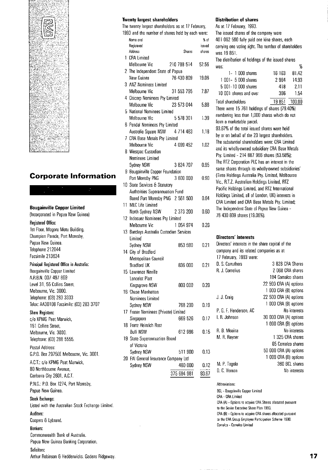

### **Corporate Information**

#### **Bougainville Copper Limited**

!Incorporated in Papua New Guinea) Regislered **Office:**  1st Floor, Magoru Motu Building, Champion Parade, Port Moresby, Papua New Guinea, Telephone 212044

# Facsimile 213634

**Principal Registered Office in Australia:**  Bougainville Copper Limited A,RB,N, **007** 497 869 Level 31, 55 Collins Street, Melbourne, Vic. **3000.**  Telephone: (03)283 3333 Telex: AA30108 Facsimile: (03)283 3707

#### Share Registers:

c/o KPMG Peat Marwick, 161 Collins Street, Melbourne, Vic. 3000. Telephone: (03) 288 5555,

Postal Address: G.P.O. 80x 2975EE Melbourne, Vic. **3001.** 

A.C.T.: c/o KPMG Peat Marwick, **80** Nonhbourne Avenue, Canberra City 2601, A.C.T.

P.N.G.: P.O. Box 1274, Port Moresby, Papua New Guinea.

#### Stock Exchange:

Listed with the Australian Stock Exchange Limited.

### **Auditors:**

Coopers & Lybrand,

#### **Bankers: Commonwealth Bank ot Australia.**

**Papua New Guinea Banking Corporation.** 

#### **Solicitors:**

Arthur Robinson & Hedderwicks, Gadens Ridgeway.

#### **Twenty largest shareholders**

The twenty largest shareholders as at 17 February, 1993 and the number of shares held by each were:

| Name and<br>Registered<br>Address        | Shares      | % of<br>issued<br>shares |
|------------------------------------------|-------------|--------------------------|
| 1 CRA Limited                            |             |                          |
| Melbourne Vic                            | 210 788 514 | 52.56                    |
| 2 The Independent State of Papua         |             |                          |
| New Guinea                               | 76 430 809  |                          |
| 3 ANZ Nominees Limited                   |             | 19.06                    |
|                                          |             |                          |
| Melbourne Vic                            | 31 553 795  | 7.87                     |
| 4 Citicorp Nominees Pty Limited          |             |                          |
| Melbourne Vic                            | 23 573 044  | 5.88                     |
| 5 National Nominees Limited              |             |                          |
| Melbourne Vic                            | 5 578 301   | 1.39                     |
| 6 Pendal Nominees Pty Limited            |             |                          |
| Australia Square NSW 4 714 483           |             | 1.18                     |
| 7 CRA Base Metals Pty Limited            |             |                          |
| Melbourne Vic                            | 4 099 452   | 1.02                     |
| 8 Westpac Custodian                      |             |                          |
| Nominees Limited                         |             |                          |
| Sydney NSW                               | 3 824 707   | 0.95                     |
| 9 Bougainville Copper Foundation         |             |                          |
| Port Moresby PNG 3 600 000               |             | 0.90                     |
| 10 State Services & Statutory            |             |                          |
| Authorities Superannuation Fund          |             |                          |
| Board Port Moresby PNG 2 561 500         |             | 0.64                     |
| 11 MLC Life Limited                      |             |                          |
| North Sydney NSW 2 373 200               |             | 0.60                     |
| 12 Indosuez Nominees Pty Limited         |             |                          |
| Melbourne Vic                            | 1 054 974   | 0.26                     |
| 13 Barclays Australia Custodian Services |             |                          |
| Limited                                  |             |                          |
| Sydney NSW                               | 853 590     | 0.21                     |
| 14 City of Bradford                      |             |                          |
| Metropolitan Council                     |             |                          |
| <b>Bradford UK</b>                       | 836.000     | 0.21                     |
| 15 Lawrence Neville                      |             |                          |
| Lancelot Platt                           |             |                          |
| Kingsgrove NSW                           | 800 000     | 0.20                     |
| 16 Chase Manhattan                       |             |                          |
| Nominees Limited                         |             |                          |
| Sydney NSW                               | 768 200     | 0.19                     |
| 17 Fraser Nominees (Private) Limited     |             |                          |
| Singapore                                | 669 526     | 0.17                     |
| 18 Franz Heinrich Rast                   |             |                          |
| <b>Bulli NSW</b>                         | 612 986     |                          |
|                                          |             | 0.15                     |
| 19 State Superannuation Board            |             |                          |
| of Victoria                              |             |                          |
| Sydney NSW                               | 511 900     | 0.13                     |
| 20 FAI General Insurance Company Ltd     |             |                          |
| Sydney NSW                               | 480 000     | 0.12                     |
|                                          | 375 684 981 | 93.67                    |

#### **Distribution of shares**

As at 17 February, 1993. The issued shares of the company were 401 062 500 fully paid one kina shares, each carrying one voting right. The number of shareholders was 19851. The distribution of holdings of the issued shares was:  $\%$ 1- 1 000 shares 16163 81.42 1 001- 5 000 shares 2964 14,93 5 001-10 000 shares 418 2.11  $1001$  shares and over  $\frac{1001}{154}$  shares and over<br>Total shareholders<br>There were 15 761 holdings of shares (79.40%) 19851 100,00 numbering less than 1,000 shares which do not form a marketable parcel. 93.67% of the total issued shares were held by or on behalf of the 20 largest shareholders, The substantial shareholders were: CRA Limited and its wholly·owned subsidiary CRA Base Metals Pty, Limited - 214 887 966 shares (53,5B%): The RTZ Corporation PLC has an interest in the same shares through its wholly·owned subsidiaries' **(Tinto Holdings Australia Pty. limited, Melbourne**  Vic., R.T.Z. Australian Holdings Limited, RTZ Pacific Holdings Limited, and RTZ International Holdings limited, all of London, UK) interests in CRA limited and CRA 8ase Metals Pty. limited: The Independent State of Papua New Guinea - 76430809 shares (19,06%), **Directors' interests Directors' interests in the share capital of the company and its related companies as at**  17 February, 1993 were: D. S. Carruthers 3 828 CRA Shares

| 194 Comalco shares     |
|------------------------|
| 22 500 CRA (A) options |
| 1 000 CRA (B) options  |
| 22 500 CRA (A) options |
| 1 000 CRA (B) options  |
| No interests           |
| 30 000 CRA (A) options |
| 1 000 CRA (B) options  |
| No interests           |
| 1 325 CRA shares       |
| 65 Comalco shares      |
| 50 000 CRA (A) options |
| 1 000 CRA (B) options  |
| 360 BCL shares         |
| No interests           |
|                        |

#### **Abbreviations:**

**BCL - 80ugainville Copper Limited CRA - CRA Limited CRA (A) - Options to acquire CRA Shares allocated pursuant to the Senior Executive Share Plan 1990. CRA (8) - Opiions to acquire CRA shares allocated pursuant to the CRA Group Employee Participation Scheme 1990. Comalco - Comalco limited**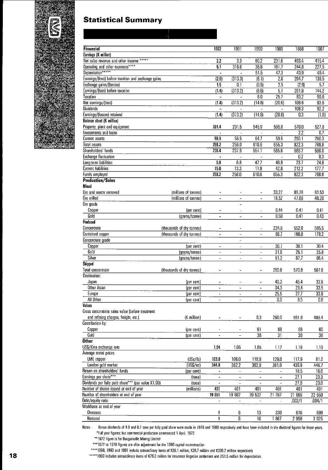

### **Statistical Summary**

| <b>Financial</b>                                    |                           | 1992                     | 1991                             | 1990                         | 1989                         | 1988              | 1987            |
|-----------------------------------------------------|---------------------------|--------------------------|----------------------------------|------------------------------|------------------------------|-------------------|-----------------|
| Earnings (K million)                                |                           |                          |                                  |                              |                              |                   |                 |
| Net sales revenue and other income *****            |                           | 2.2                      | $\overline{3.3}$                 | 80.2                         | 231.6                        | 493.4             | 415.4           |
| Operating and other expenses****                    |                           | $\overline{5.1}$         | 316.6                            | 36.8                         | 181.7                        | 244.8             | 227.5           |
| Depreciation*****                                   |                           |                          |                                  | 51.5                         | 47.3                         | 43.9              | 49.4            |
| Earnings/(loss) before taxation and exchange gains  |                           | (2.9)                    | (313.3)                          | (8.1)                        | 2.6                          | 204.7             | 138.5           |
| Exchange gains/(losses)                             |                           | 1.5                      | 0.1                              | (0.5)                        | 2.5                          | (2.9)             | 5.7             |
| Earnings/(loss) before taxation                     |                           | (1.4)                    | (313.2)                          | (8.6)                        | $\overline{5.1}$             | 201.8             | 144.2           |
| Taxation                                            |                           | $\blacksquare$           | ÷,                               | 6.0                          | 25.7                         | $\overline{93.2}$ | 50.6            |
| Net earnings/(loss)                                 |                           | (1.4)                    | (313.2)                          | (14.6)                       | (20.6)                       | 108.6             | 93.6            |
| <b>Dividends</b>                                    |                           |                          | $\overline{a}$                   | $\bar{\mathbf{a}}$           | ă,                           | 108.3             | 92.2            |
| Earnings/(losses) retained                          |                           | (1.4)                    | (313.2)                          | (14.6)                       | (20.6)                       | 0.3               | (1.8)           |
| Balance sheet (K million)                           |                           |                          |                                  |                              |                              |                   |                 |
| Property, plant and equipment                       |                           | 201.4                    | 201.5                            | 545.9                        | 595.8                        | 570.0             | 527.8           |
| Investments and loans                               |                           |                          |                                  |                              |                              | 2.2               | 0.7             |
| Current assets                                      |                           | 56.8                     | 56.5                             | 64.7                         | 59.5                         | 250.1             | 260.3           |
| Total assets                                        |                           | 258.2                    | 258.0                            | 610.6                        | 655.3                        | 822.3             | 788.8           |
| Shareholders funds                                  |                           | 236.4                    | 237.9                            | 551.1                        | 565.6                        | 586.2             | 586.0           |
| Exchange fluctuation                                |                           |                          | $\blacksquare$                   | $\overline{\phantom{a}}$     |                              | 0.2               | 0.3             |
| Long-term liabilities                               |                           | 6.8                      | 6.8                              | 47.7                         | 46.9                         | $\overline{23.7}$ | 24.8            |
| <b>Current liabilities</b>                          |                           | 15.0                     | 13.3                             | 11.8                         | 42.8                         | 212.2             | 177.7           |
| Funds employed                                      |                           | 253.2                    | 258.0                            | 610.6                        | 655.3                        | 822.3             | 788.8           |
| <b>Production/Sales</b>                             |                           |                          |                                  |                              |                              |                   |                 |
| Mined                                               |                           |                          |                                  |                              |                              |                   |                 |
| Ore and waste removed                               | (millions of tonnes)      |                          |                                  |                              | 33.27                        | 89.78             | 83.53           |
| Ore milled                                          | (millions of tonnes)      |                          |                                  | $\overline{a}$               | 18.52                        | 47.69             | 48.20           |
| Ore grade                                           |                           |                          |                                  |                              |                              |                   |                 |
| Copper                                              | (per cent)                | $\overline{\phantom{a}}$ | $\overline{\phantom{a}}$         | ÷                            | 0.44                         | 0.41              | 0.41            |
| Gold                                                | (grams/tonne)             | $\overline{a}$           | ÷,                               | $\overline{a}$               | 0.50                         | 0.41              | 0.43            |
| Produced                                            |                           |                          |                                  |                              |                              |                   |                 |
| Concentrate                                         | (thousands of dry tonnes) | $\overline{\phantom{0}}$ |                                  | ä,                           | 224.6                        | 552.0             | 585.5           |
| Contained copper                                    | (thousands of dry tonnes) | $\blacksquare$           | $\equiv$                         | $\overline{ }$               | 68.7                         | 166.0             | 178.2           |
| Concentrate grade                                   |                           |                          | ÷                                |                              |                              |                   |                 |
| Copper                                              | (per cent)                | $\overline{a}$           | $\overline{\phantom{0}}$         | $\ddot{\phantom{1}}$         | 30.1                         | 30.1              | 30.4            |
| Gold                                                | (grams/tonne)             |                          | $\overline{\phantom{0}}$         | L,                           | 31.0                         | 25.1              | 25.8            |
| Silver                                              | (grams/tonne)             | $\overline{a}$           | $\blacksquare$                   | $\overline{a}$               | 91.2                         | 87.7              | 86.4            |
| Shipped<br><b>Total concentrate</b>                 |                           |                          |                                  |                              |                              |                   |                 |
| Destination:                                        | (thousands of dry tonnes) | ۰                        |                                  | $\overline{\phantom{a}}$     | 250.8                        | 570.8             | 567.6           |
| Japan                                               |                           |                          |                                  |                              | 40.2                         |                   |                 |
| Other Asian                                         | (per cent)<br>(per cent)  | $\overline{\phantom{m}}$ | $\blacksquare$                   | $\blacksquare$               | 34.3                         | 45.4<br>23.4      | 32.6<br>33.5    |
| Europe                                              | (per cent)                |                          |                                  |                              | 25.5                         | 27.7              |                 |
| All Other                                           | {per cent }               | ۰                        | -                                | $\overline{a}$               | $\overline{0.0}$             | 3.5               | 33.9<br>0.0     |
| Values                                              |                           |                          |                                  |                              |                              |                   |                 |
| Gross concentrate sales value (before treatment     |                           |                          |                                  |                              |                              |                   |                 |
| and refining charges, freight, etc.)                | {K million}               |                          | $\qquad \qquad \blacksquare$     | $0.3\,$                      | 260.0                        | 561.0             | 489.4           |
| Contribution by:                                    |                           |                          |                                  |                              |                              |                   |                 |
| Copper                                              | (per cent)                |                          |                                  | 61                           | 68                           | 68                | 60              |
| Gold                                                | (per cent)                |                          | $\overline{a}$                   | 38                           | $\overline{31}$              | 30                | $\overline{38}$ |
| <b>Other</b>                                        |                           |                          |                                  |                              |                              |                   |                 |
| US\$/Kina exchange rate                             |                           | 1.04                     | 1.05                             | 1.05                         | 1.17                         | 1.16              | 1.10            |
| Average metal prices                                |                           |                          |                                  |                              |                              |                   |                 |
| LME copper                                          | (USc/lb)                  | 103.0                    | 106.0                            | 119.8                        | 129.0                        | 117.9             | 81.0            |
| London gold market                                  | (USS/oz)                  | 344.0                    | 362.2                            | 382.8                        | 381.0                        | 436.8             | 446.7           |
| Return on shareholders' funds                       | (per cent)                | $\ddot{\phantom{0}}$     | $\overline{\phantom{a}}$         | $\qquad \qquad \blacksquare$ | $\qquad \qquad \blacksquare$ | 18.5              | 16.0            |
| Earnings per share***                               | (toea)                    | $\blacksquare$           |                                  | $\overline{a}$               | $\overline{a}$               | 27.1              | 23.3            |
| Dividends per fully paid share*** (par value K1.00) | (toea)                    |                          |                                  |                              |                              | 27.0              | 23.0            |
| Number of shares issued at end of year              | (millions)                | 401                      | 401                              | 401                          | 401                          | 401               | 401             |
| Number of shareholders at end of year               |                           | 19 851                   | 19 982                           | 20 532                       | 21 287                       | 21 966            | 22 650          |
| Debt/equity ratio                                   |                           | $\qquad \qquad -$        | $\overline{\phantom{m}}$         | $\overline{\phantom{0}}$     | $\overline{\phantom{0}}$     | .002/1            | .004/1          |
| Workforce at end of year                            |                           |                          |                                  |                              |                              |                   |                 |
| Overseas                                            |                           | 1                        | 6                                | 13                           | 330                          | 610               | 699             |
| National                                            |                           | 1                        | $\overline{\boldsymbol{\delta}}$ | $\overline{10}$              | 1987                         | 2950              | 3025            |

Notes: Bonus dividends of 4.0 and 6.7 toea per fully paid share were made in 1979 and 1980 respectively and have been included in the dividend figures for those years. ~Full year figures: but commercial production commenced 1 April, 1972

~\*1972 figure is for Bougainville Mining Limited

\*\*\*1972 to 1979 figures are after adjustment for the 1980 capital reconstruction

\*\*\*\*1989, 1990 and 1991 include extraordinary items of K26.1 million, K28.7 million and K309.2 million respectively

**18** \*\*\*\*\*\*1990 includes extraordinary items of K76.3 million for insurance litigation settlement and K51.5 million for depreciation.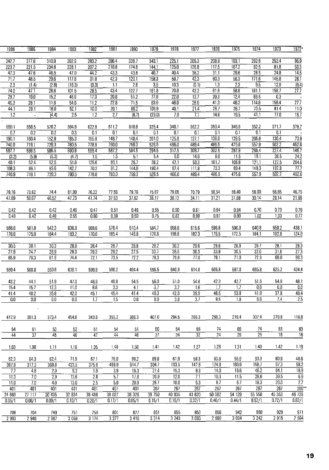| 1986              | 1985            | 1984              | 1983         | 1982            | 1981              | 1980         | 1979               | 1978              | 1977              | 1976            | 1975             | 1974               | 1973              | $1972*$            |
|-------------------|-----------------|-------------------|--------------|-----------------|-------------------|--------------|--------------------|-------------------|-------------------|-----------------|------------------|--------------------|-------------------|--------------------|
| 342.7             | 317.6           | 310.9             | 392.9        | 283.2           | 296.4             | 338.7        | 343.1              | 225.1             | 205.3             | 208.9           | 193.1            | 292.6              | 252.4             | 95.9               |
| 223.7             | 221.5           | 234.8             | 228.1        | 207.2           | 210.8             | 174.8        | 144.1              | 125.0             | 126.8             | 117.5           | 107.2            | $\overline{92.5}$  | 81.8              | $\overline{53.3}$  |
| 473               | 47.6            | 46.5              | 47.0         | 44.2            | 43.3              | 43.8         | 40.7               | 40.4              | $\overline{36.2}$ | 31.1            | 296              | 28.5               | 24.8              | $\overline{14.5}$  |
| 71.7              | 48.5            | 29.6              | 117.8        | 31.8            | 42.3              | 120.1        | 158.3              | 69.7              | 42.3              | 60.3            | 56.3             | $\overline{171.6}$ | 145.8             | $\overline{28.1}$  |
| $\overline{2.3}$  | (1.4)           | (2.8)             | (16.3)       | (3.3)           | $\overline{1.1}$  | 2.6          | 3.5                | 10.3              | (0.1)             | 1.3             | $\overline{2.3}$ | $\overline{95}$    | 12.9              | $\overline{[0.4]}$ |
| 74.0              | 47.1            | 26.8              | 101.5        | 28.5            | 43.4              | 122.7        | 161.8              | 70.0              | 42.2              | 61.6            | 58.6             | 181.1              | 158.7             | $\overline{27.7}$  |
| 28.7              | 19.0            | 15.2              | 46.9         | 17.3            | 20.6              | 51.2         | 77.9               | $\overline{22.0}$ | 13.7              | 20.3            | 12.4             | 66.5               | $\overline{03}$   |                    |
| 45.3              | 28.1            | 11.6              | 54.6         | 11.2            | 22.8              | 71.5         | 83.9               | 48.0              | 28.5              | 41.3            | 46.2             | 114.6              | 158.4             | 27.7               |
| 44.1              | 28.1            | 16.0              | 52.1         | 10.0            | $\overline{20.1}$ | 80.2         | 106.9              | 40.1              | 214               | 26.7            | 26.7             | 73.5               | 814               | $\overline{11.0}$  |
| $\overline{1.2}$  | $\blacksquare$  | (4.4)             | 2.5          | 1.2             | $\overline{27}$   | (8.7)        | (23.0)             | 79                | 7.1               | 14.6            | 19.5             | $-41.1$            | 770               | 16.7               |
|                   |                 |                   |              |                 |                   |              |                    |                   |                   |                 |                  |                    |                   |                    |
| 550.1<br>0.7      | 558.5<br>0.2    | 576.2<br>0.2      | 594.9<br>0.3 | 622.8<br>0.1    | 611.2<br>0.1      | 610.8<br>0.1 | 325.4<br>0.1       | 340.1<br>0.1      | 352.2<br>0.1      | 350.4<br>0. i   | 346.0<br>0.1     | 352.2<br>0.1       | 371.7<br>0.1      | 378.7              |
| 190.1             | 160.4           | 152.9             | 185.3        | 155.9           | 148.7             | 148.4        | $\overline{201.0}$ | 125.8             | 137.1             | 136.0           | 1295             | 205.6              | 130.4             | $\overline{73.9}$  |
| 740.9             | 719.1           | 729.3             | 780.5        | 778.8           | 760.0             | 759.3        | 526.5              | 466.0             | 4894              | 486.5           | 4756             | 5579               | 502.2             | 452.6              |
| 587.7             | 586.5           | 586.5             | 590.9        | 588.4           | 587.2             | 584.5        | 2945               | 317.5             | 309.7             | 302.5           | 287.9            | 268.4              | 2274              | 1467               |
| (3.2)             | (5.9)           | (5.3)             | (4.7)        | 1.5             | 1.5               | 5.1          | 5.4                | 9.0               | 14.6              | 9.0             | 11.5             | 19.1               | 395               | $\overline{24.2}$  |
| 48.1              | 52.4            | 52.5              | 51.6         | 125.6           | 80.1              | 25.7         | $\overline{36.2}$  | 42.1              | 53.3              | 101.7           | 106.8            | 121.1              | 127.5             | 204.0              |
| 108.3             | 86.1            | 95.6              | 142.7        | 70.2            | 91.2              | 144.0        | 190.4              | 974               | 111.8             | 733             | 694              | 149.3              | 107.8             | $\overline{777}$   |
| 740.9             | 719.1           | 729.3             | 780.5        | 778.8           | 760.0             | 759.3        | 526.5              | 466.0             | 489.4             | 4865            | 4756             | 557.9              | 502.2             | 452.6              |
|                   |                 |                   |              |                 |                   |              |                    |                   |                   |                 |                  |                    |                   |                    |
|                   |                 |                   |              |                 |                   |              |                    |                   |                   |                 |                  |                    |                   |                    |
| 79.16             | 73.62           | 74.4              | 81.00        | 76.22           | 77.56             | 79.76        | 75.97<br>36.17     | 79.05             | 70.79<br>34.11    | 58.54<br>31.21  | 56.40            | 56.00              | 56.65<br>29.14    | 46.75              |
| 47.89             | 50.07           | 46.52             | 47.73        | 41.74           | 37.53             | 37.62        |                    | 38.12             |                   |                 | 31.08            | 30.14              |                   | 21.89              |
| 0.42              | 0.42            | 0.42              | 0.46         | 0.47            | 0.51              | 0.46         | 0.55               | 0.60              | 0.61              | 0.64            | 0.64             | 0.70               | 0.73              | 0.76               |
| 0.48              | 0.42            | 0.48              | 0.55         | 0.60            | 0.59              | 0.50         | 0.75               | 0.82              | 0.90              | 0.87            | 0.80             | $\overline{1.02}$  | 1.03              | $\overline{077}$   |
|                   |                 |                   |              |                 |                   |              |                    |                   |                   |                 |                  |                    |                   |                    |
| 586.6             | 581.8           | 542.3             | 636.9        | 598.6           | 576.4             | 510.4        | 584.7              | 658.6             | 615.6             | 596.8           | 596.0            | 640.8              | 650.2             | 438.1              |
| 178.6             | 175.0           | 164.4             | 183.2        | 170.0           | 165.4             | 146.8        | $\frac{1}{170.8}$  | 198.6             | 1823              | 176.5           | 172.5            | 184.1              | 182.9             | 124.0              |
|                   |                 |                   |              |                 |                   |              |                    |                   |                   |                 |                  |                    |                   |                    |
| 30.5              | 30.1            | 30.3              | 28.8         | 28.4            | 287               | 28.8         | 29.2               | 30.2              | 296               | 29.6            | 28.9             | $\sqrt{287}$       | 28.1              | 28.3               |
| $\overline{27.9}$ | 24.7            | $\overline{28.9}$ | 28.3         | 29.3            | 29.2              | 27.5         | 337                | 35.5              | 363               | 33.9            | 30.5             | $\overline{320}$   | 31.6              | $\overline{273}$   |
| 85.9              | 79.3            | $\overline{81.9}$ | 74,4         | 72.1            | 73.5              | 72.2         | $\frac{1}{763}$    | 79.8              | $\overline{770}$  | 76.1            | 71.0             | $\overline{72.3}$  | 690               | 69.3               |
|                   |                 |                   |              |                 |                   |              |                    |                   |                   |                 |                  |                    |                   |                    |
| 589.4             | 560.0           | 550.8             | 636.1        | 599.6           | 596.2             | 494.4        | 586.5              | 640.9             | 614.8             | 605.8           | 587.0            | 665.8              | 625.2             | 434.4              |
| 43.2              | 44.1            | 51.9              | 47.0         | 46.6            | 49.8              | 54.5         | 56.0               | 51.0              | 54.8              | 423             | 42.7             | 51.5               | 54.8              | 48.1               |
| 15.4              | 15.7            | $\overline{12.3}$ | 11.0         | 66              | 3.3               | 4.1          | $\overline{37}$    | $\overline{32}$   | 1.6               | 1.7             | 1.7              | 0.0                | 0.0               | $\overline{0.0}$   |
| 41.4              | 40.2            | $\overline{35.8}$ | 42.0         | 45.1            | 45.4              | 41.4         | $\overline{40.3}$  | 42.0              | 39.9              | 46.5            | 53.8             | 41.9               | 37.8              | 49.4               |
| 0.0               | 0.0             | 0.0               | 0.0          | 1.7             | $\overline{1.5}$  | 0.0          | $\overline{0.0}$   | 3.8               | $\overline{3.7}$  | 9.5             | 1.8              | 6.6                | 7.4               | $\overline{2.5}$   |
|                   |                 |                   |              |                 |                   |              |                    |                   |                   |                 |                  |                    |                   |                    |
|                   |                 |                   |              |                 |                   |              |                    |                   |                   |                 |                  |                    |                   |                    |
| 417.9             | 381.3           | 373.4             | 454.6        | 343.6           | 355.2             | 3863         | 407.0              | 294.5             | 2663              | 260.3           | 219.4            | 307.4              | 270.8             | 118,8              |
|                   |                 |                   |              |                 |                   |              |                    |                   |                   |                 |                  |                    |                   |                    |
| 54                | 61              | 53                | 52           | 51              | 54                | 51           | 60                 | 64                | 66                | 74              | 69               | 74                 | 83                | 83                 |
| $\overline{44}$   | $\overline{37}$ | $\overline{45}$   | 46           | $\overline{47}$ | 44                | 46           | $\overline{37}$    | $\overline{34}$   | $\overline{32}$   | $\overline{24}$ | $\overline{29}$  | $\overline{25}$    | 16                | $\overline{16}$    |
| 1.03              | 1.00            | 1.11              | 1.19         | 1.35            | 1.48              | 1.50         | 1.41               | 1.42              | 1.27              | 1.26            | 1.31             | 143                | 1.42              | 1.19               |
|                   |                 |                   |              |                 |                   |              |                    |                   |                   |                 |                  |                    |                   |                    |
| 62.3              | 64.3            | 62.4              | 71.9         | 67.1            | 79.0              | 99.2         | 89.8               | 61.9              | 59.3              | 63.6            | 55.9             | 93.3               | 80.9              | 48.6               |
| 367.9             | 317.3           | 360.8             | 423.5        | 375.6           | 459.9             | 614.7        | 304.7              | 193.5             | 147.8             | 124.8           | 160.9            | 158.7              | 97.3              | 58.2               |
| 7.7               | 4.8             | 2.0               | 9.3          | 1.9             | 3.9               | 16.3         | 27.4               | 15.3              | 9.3               | 14.0            | 16.6             | 46.2               | 84.1              | 18.9               |
| 11.3              | 7.0             | 2.9               | 13.6         | 2.8             | 5.7               | 17.8         | 20.9               | 12.0              | 7.1               | 10.3            | 11.5             | 28.6               | 39.5              | 6.9                |
| 11.0              | 7.0             | $\overline{40}$   | 13.0         | 2.5             | 5.0               | 200          | 267                | 10.0              | 53                | 6.7             | 67               | 18.3               | $\overline{20.0}$ | $\overline{2.7}$   |
| 401               | 401             | $-401$            | 401          | 401             | 401               | 401          | 267                | 267               | 267               | 267             | 267              | $\overline{267}$   | 267               | $260**$            |
| 24 680            | 27117           | 30435             | 32 834       | 36 486          | 38 027            | 38 326       | 38750              | 40 935            | 43 820            | 50 082          | 54 129           | 55 558             | 45 3 53           | 46 726             |
| $\sqrt{0.05/1}$   | 0.06/1          | 0.09/1            | 0.10/1       | 0.20/1          | 0.17/1            | 0.05/1       | 0.15/1             | 0.19/1            | 0.37/1            | 0.40/1          | 0.44/1           | 0.52/1             | 0.72/1            | 0.62/1             |
|                   |                 |                   |              |                 |                   |              |                    |                   |                   |                 |                  |                    |                   |                    |
| 706<br>2 9 9 3    | 704<br>2 948    | 749<br>2987       | 751<br>3058  | 756<br>3174     | 801<br>3 3 7 7    | 877<br>3416  | 851<br>3314        | 855<br>3 2 4 3    | 853<br>3 0 6 3    | 858<br>2 989    | 942<br>3 0 9 4   | 980<br>3242        | 929<br>2915       | 971<br>2 5 9 4     |
|                   |                 |                   |              |                 |                   |              |                    |                   |                   |                 |                  |                    |                   |                    |